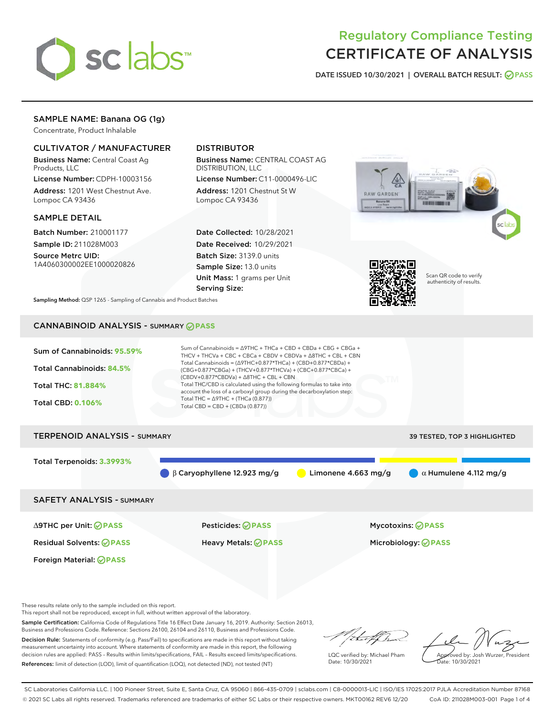

# Regulatory Compliance Testing CERTIFICATE OF ANALYSIS

DATE ISSUED 10/30/2021 | OVERALL BATCH RESULT: @ PASS

## SAMPLE NAME: Banana OG (1g)

Concentrate, Product Inhalable

## CULTIVATOR / MANUFACTURER

Business Name: Central Coast Ag Products, LLC

License Number: CDPH-10003156 Address: 1201 West Chestnut Ave. Lompoc CA 93436

#### SAMPLE DETAIL

Batch Number: 210001177 Sample ID: 211028M003

Source Metrc UID: 1A4060300002EE1000020826

## DISTRIBUTOR

Business Name: CENTRAL COAST AG DISTRIBUTION, LLC

License Number: C11-0000496-LIC Address: 1201 Chestnut St W Lompoc CA 93436

Date Collected: 10/28/2021 Date Received: 10/29/2021 Batch Size: 3139.0 units Sample Size: 13.0 units Unit Mass: 1 grams per Unit Serving Size:





Scan QR code to verify authenticity of results.

Sampling Method: QSP 1265 - Sampling of Cannabis and Product Batches

## CANNABINOID ANALYSIS - SUMMARY **PASS**



These results relate only to the sample included on this report.

Foreign Material: **PASS**

This report shall not be reproduced, except in full, without written approval of the laboratory.

Sample Certification: California Code of Regulations Title 16 Effect Date January 16, 2019. Authority: Section 26013, Business and Professions Code. Reference: Sections 26100, 26104 and 26110, Business and Professions Code. Decision Rule: Statements of conformity (e.g. Pass/Fail) to specifications are made in this report without taking

measurement uncertainty into account. Where statements of conformity are made in this report, the following decision rules are applied: PASS – Results within limits/specifications, FAIL – Results exceed limits/specifications. References: limit of detection (LOD), limit of quantification (LOQ), not detected (ND), not tested (NT)

that for

LQC verified by: Michael Pham Date: 10/30/2021

Approved by: Josh Wurzer, President ate: 10/30/2021

SC Laboratories California LLC. | 100 Pioneer Street, Suite E, Santa Cruz, CA 95060 | 866-435-0709 | sclabs.com | C8-0000013-LIC | ISO/IES 17025:2017 PJLA Accreditation Number 87168 © 2021 SC Labs all rights reserved. Trademarks referenced are trademarks of either SC Labs or their respective owners. MKT00162 REV6 12/20 CoA ID: 211028M003-001 Page 1 of 4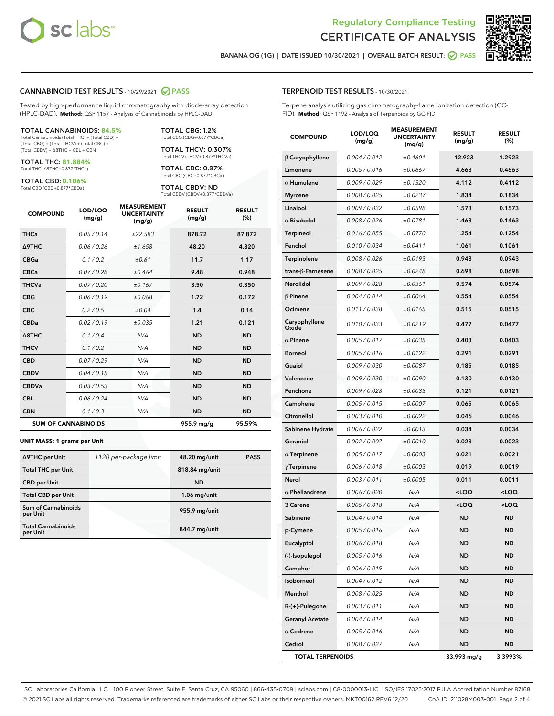

Terpene analysis utilizing gas chromatography-flame ionization detection (GC-



RESULT (%)

BANANA OG (1G) | DATE ISSUED 10/30/2021 | OVERALL BATCH RESULT: O PASS

TERPENOID TEST RESULTS - 10/30/2021

FID). **Method:** QSP 1192 - Analysis of Terpenoids by GC-FID

#### CANNABINOID TEST RESULTS - 10/29/2021 2 PASS

Tested by high-performance liquid chromatography with diode-array detection (HPLC-DAD). **Method:** QSP 1157 - Analysis of Cannabinoids by HPLC-DAD

#### TOTAL CANNABINOIDS: **84.5%**

Total Cannabinoids (Total THC) + (Total CBD) + (Total CBG) + (Total THCV) + (Total CBC) + (Total CBDV) + ∆8THC + CBL + CBN

TOTAL THC: **81.884%** Total THC (∆9THC+0.877\*THCa)

TOTAL CBD: **0.106%** Total CBD (CBD+0.877\*CBDa)

TOTAL THCV: 0.307% Total THCV (THCV+0.877\*THCVa)

> TOTAL CBC: 0.97% Total CBC (CBC+0.877\*CBCa)

TOTAL CBG: 1.2% Total CBG (CBG+0.877\*CBGa)

TOTAL CBDV: ND Total CBDV (CBDV+0.877\*CBDVa)

| <b>COMPOUND</b> | LOD/LOQ<br>(mg/g)          | <b>MEASUREMENT</b><br><b>UNCERTAINTY</b><br>(mg/g) | <b>RESULT</b><br>(mg/g) | <b>RESULT</b><br>(%) |
|-----------------|----------------------------|----------------------------------------------------|-------------------------|----------------------|
| <b>THCa</b>     | 0.05/0.14                  | ±22.583                                            | 878.72                  | 87.872               |
| <b>A9THC</b>    | 0.06 / 0.26                | ±1.658                                             | 48.20                   | 4.820                |
| <b>CBGa</b>     | 0.1/0.2                    | ±0.61                                              | 11.7                    | 1.17                 |
| <b>CBCa</b>     | 0.07 / 0.28                | ±0.464                                             | 9.48                    | 0.948                |
| <b>THCVa</b>    | 0.07/0.20                  | ±0.167                                             | 3.50                    | 0.350                |
| <b>CBG</b>      | 0.06/0.19                  | ±0.068                                             | 1.72                    | 0.172                |
| <b>CBC</b>      | 0.2 / 0.5                  | ±0.04                                              | 1.4                     | 0.14                 |
| <b>CBDa</b>     | 0.02/0.19                  | ±0.035                                             | 1.21                    | 0.121                |
| A8THC           | 0.1/0.4                    | N/A                                                | <b>ND</b>               | <b>ND</b>            |
| <b>THCV</b>     | 0.1/0.2                    | N/A                                                | <b>ND</b>               | <b>ND</b>            |
| <b>CBD</b>      | 0.07/0.29                  | N/A                                                | <b>ND</b>               | <b>ND</b>            |
| <b>CBDV</b>     | 0.04 / 0.15                | N/A                                                | <b>ND</b>               | <b>ND</b>            |
| <b>CBDVa</b>    | 0.03 / 0.53                | N/A                                                | <b>ND</b>               | <b>ND</b>            |
| <b>CBL</b>      | 0.06 / 0.24                | N/A                                                | <b>ND</b>               | <b>ND</b>            |
| <b>CBN</b>      | 0.1/0.3                    | N/A                                                | <b>ND</b>               | <b>ND</b>            |
|                 | <b>SUM OF CANNABINOIDS</b> |                                                    | 955.9 mg/g              | 95.59%               |

#### **UNIT MASS: 1 grams per Unit**

| ∆9THC per Unit                        | 1120 per-package limit | 48.20 mg/unit  | <b>PASS</b> |
|---------------------------------------|------------------------|----------------|-------------|
| <b>Total THC per Unit</b>             |                        | 818.84 mg/unit |             |
| <b>CBD per Unit</b>                   |                        | <b>ND</b>      |             |
| <b>Total CBD per Unit</b>             |                        | $1.06$ mg/unit |             |
| Sum of Cannabinoids<br>per Unit       |                        | 955.9 mg/unit  |             |
| <b>Total Cannabinoids</b><br>per Unit |                        | 844.7 mg/unit  |             |

| <b>COMPOUND</b>       | LOD/LOQ<br>(mg/g) | <b>MEASUREMENT</b><br><b>UNCERTAINTY</b><br>(mg/g) | <b>RESULT</b><br>(mg/g) | <b>RESULT</b><br>(%) |
|-----------------------|-------------------|----------------------------------------------------|-------------------------|----------------------|
| $\beta$ Caryophyllene | 0.004/0.012       | ±0.4601                                            | 12.923                  | 1.2923               |
| Limonene              | 0.005/0.016       | ±0.0667                                            | 4.663                   | 0.4663               |
| $\alpha$ Humulene     | 0.009/0.029       | ±0.1320                                            | 4.112                   | 0.4112               |
| <b>Myrcene</b>        | 0.008 / 0.025     | ±0.0237                                            | 1.834                   | 0.1834               |
| Linalool              | 0.009/0.032       | ±0.0598                                            | 1.573                   | 0.1573               |
| $\alpha$ Bisabolol    | 0.008 / 0.026     | ±0.0781                                            | 1.463                   | 0.1463               |
| <b>Terpineol</b>      | 0.016 / 0.055     | ±0.0770                                            | 1.254                   | 0.1254               |
| Fenchol               | 0.010 / 0.034     | ±0.0411                                            | 1.061                   | 0.1061               |

| <b>Terpineol</b>        | 0.016 / 0.055 | ±0.0770 | 1.254                                            | 0.1254              |
|-------------------------|---------------|---------|--------------------------------------------------|---------------------|
| Fenchol                 | 0.010 / 0.034 | ±0.0411 | 1.061                                            | 0.1061              |
| Terpinolene             | 0.008 / 0.026 | ±0.0193 | 0.943                                            | 0.0943              |
| trans-β-Farnesene       | 0.008 / 0.025 | ±0.0248 | 0.698                                            | 0.0698              |
| <b>Nerolidol</b>        | 0.009 / 0.028 | ±0.0361 | 0.574                                            | 0.0574              |
| $\beta$ Pinene          | 0.004 / 0.014 | ±0.0064 | 0.554                                            | 0.0554              |
| Ocimene                 | 0.011 / 0.038 | ±0.0165 | 0.515                                            | 0.0515              |
| Caryophyllene<br>Oxide  | 0.010 / 0.033 | ±0.0219 | 0.477                                            | 0.0477              |
| $\alpha$ Pinene         | 0.005 / 0.017 | ±0.0035 | 0.403                                            | 0.0403              |
| Borneol                 | 0.005 / 0.016 | ±0.0122 | 0.291                                            | 0.0291              |
| Guaiol                  | 0.009 / 0.030 | ±0.0087 | 0.185                                            | 0.0185              |
| Valencene               | 0.009 / 0.030 | ±0.0090 | 0.130                                            | 0.0130              |
| Fenchone                | 0.009 / 0.028 | ±0.0035 | 0.121                                            | 0.0121              |
| Camphene                | 0.005 / 0.015 | ±0.0007 | 0.065                                            | 0.0065              |
| Citronellol             | 0.003 / 0.010 | ±0.0022 | 0.046                                            | 0.0046              |
| Sabinene Hydrate        | 0.006 / 0.022 | ±0.0013 | 0.034                                            | 0.0034              |
| Geraniol                | 0.002 / 0.007 | ±0.0010 | 0.023                                            | 0.0023              |
| $\alpha$ Terpinene      | 0.005 / 0.017 | ±0.0003 | 0.021                                            | 0.0021              |
| $\gamma$ Terpinene      | 0.006 / 0.018 | ±0.0003 | 0.019                                            | 0.0019              |
| Nerol                   | 0.003 / 0.011 | ±0.0005 | 0.011                                            | 0.0011              |
| $\alpha$ Phellandrene   | 0.006 / 0.020 | N/A     | <loq< th=""><th><math>&lt;</math>LOQ</th></loq<> | $<$ LOQ             |
| 3 Carene                | 0.005 / 0.018 | N/A     | <loq< th=""><th><loq< th=""></loq<></th></loq<>  | <loq< th=""></loq<> |
| Sabinene                | 0.004 / 0.014 | N/A     | <b>ND</b>                                        | <b>ND</b>           |
| p-Cymene                | 0.005 / 0.016 | N/A     | <b>ND</b>                                        | <b>ND</b>           |
| Eucalyptol              | 0.006 / 0.018 | N/A     | <b>ND</b>                                        | <b>ND</b>           |
| (-)-Isopulegol          | 0.005 / 0.016 | N/A     | <b>ND</b>                                        | <b>ND</b>           |
| Camphor                 | 0.006 / 0.019 | N/A     | <b>ND</b>                                        | ND                  |
| Isoborneol              | 0.004 / 0.012 | N/A     | <b>ND</b>                                        | ND                  |
| Menthol                 | 0.008 / 0.025 | N/A     | ND                                               | ND                  |
| R-(+)-Pulegone          | 0.003 / 0.011 | N/A     | <b>ND</b>                                        | <b>ND</b>           |
| <b>Geranyl Acetate</b>  | 0.004 / 0.014 | N/A     | <b>ND</b>                                        | <b>ND</b>           |
| $\alpha$ Cedrene        | 0.005 / 0.016 | N/A     | <b>ND</b>                                        | <b>ND</b>           |
| Cedrol                  | 0.008 / 0.027 | N/A     | <b>ND</b>                                        | <b>ND</b>           |
| <b>TOTAL TERPENOIDS</b> |               |         | 33.993 mg/g                                      | 3.3993%             |

SC Laboratories California LLC. | 100 Pioneer Street, Suite E, Santa Cruz, CA 95060 | 866-435-0709 | sclabs.com | C8-0000013-LIC | ISO/IES 17025:2017 PJLA Accreditation Number 87168 © 2021 SC Labs all rights reserved. Trademarks referenced are trademarks of either SC Labs or their respective owners. MKT00162 REV6 12/20 CoA ID: 211028M003-001 Page 2 of 4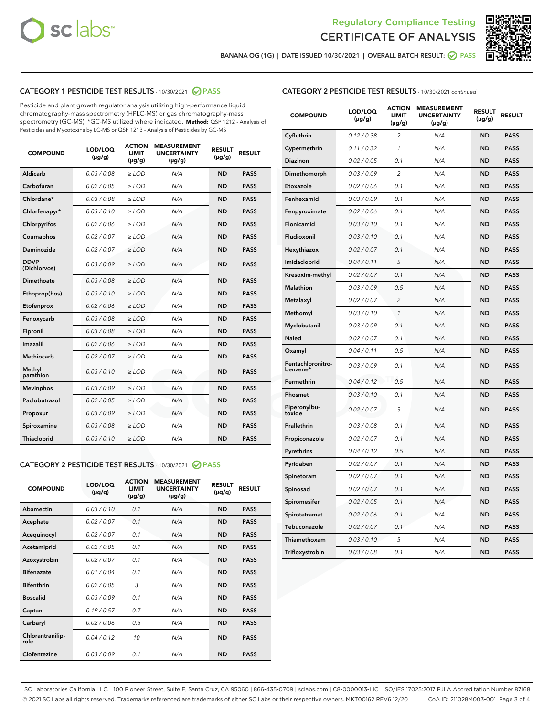



BANANA OG (1G) | DATE ISSUED 10/30/2021 | OVERALL BATCH RESULT:  $\bigcirc$  PASS

## CATEGORY 1 PESTICIDE TEST RESULTS - 10/30/2021 2 PASS

Pesticide and plant growth regulator analysis utilizing high-performance liquid chromatography-mass spectrometry (HPLC-MS) or gas chromatography-mass spectrometry (GC-MS). \*GC-MS utilized where indicated. **Method:** QSP 1212 - Analysis of Pesticides and Mycotoxins by LC-MS or QSP 1213 - Analysis of Pesticides by GC-MS

| <b>COMPOUND</b>             | LOD/LOQ<br>$(\mu g/g)$ | <b>ACTION</b><br><b>LIMIT</b><br>$(\mu g/g)$ | <b>MEASUREMENT</b><br><b>UNCERTAINTY</b><br>$(\mu g/g)$ | <b>RESULT</b><br>$(\mu g/g)$ | <b>RESULT</b> |
|-----------------------------|------------------------|----------------------------------------------|---------------------------------------------------------|------------------------------|---------------|
| Aldicarb                    | 0.03 / 0.08            | $\ge$ LOD                                    | N/A                                                     | <b>ND</b>                    | <b>PASS</b>   |
| Carbofuran                  | 0.02/0.05              | $>$ LOD                                      | N/A                                                     | <b>ND</b>                    | <b>PASS</b>   |
| Chlordane*                  | 0.03 / 0.08            | $\geq$ LOD                                   | N/A                                                     | <b>ND</b>                    | <b>PASS</b>   |
| Chlorfenapyr*               | 0.03/0.10              | $\geq$ LOD                                   | N/A                                                     | <b>ND</b>                    | <b>PASS</b>   |
| Chlorpyrifos                | 0.02 / 0.06            | $\ge$ LOD                                    | N/A                                                     | <b>ND</b>                    | <b>PASS</b>   |
| Coumaphos                   | 0.02 / 0.07            | $\ge$ LOD                                    | N/A                                                     | <b>ND</b>                    | <b>PASS</b>   |
| Daminozide                  | 0.02/0.07              | $>$ LOD                                      | N/A                                                     | <b>ND</b>                    | <b>PASS</b>   |
| <b>DDVP</b><br>(Dichlorvos) | 0.03/0.09              | $\ge$ LOD                                    | N/A                                                     | <b>ND</b>                    | <b>PASS</b>   |
| Dimethoate                  | 0.03 / 0.08            | $\ge$ LOD                                    | N/A                                                     | <b>ND</b>                    | <b>PASS</b>   |
| Ethoprop(hos)               | 0.03/0.10              | $>$ LOD                                      | N/A                                                     | <b>ND</b>                    | <b>PASS</b>   |
| Etofenprox                  | 0.02 / 0.06            | $\ge$ LOD                                    | N/A                                                     | <b>ND</b>                    | <b>PASS</b>   |
| Fenoxycarb                  | 0.03 / 0.08            | $\ge$ LOD                                    | N/A                                                     | <b>ND</b>                    | <b>PASS</b>   |
| Fipronil                    | 0.03/0.08              | $\ge$ LOD                                    | N/A                                                     | <b>ND</b>                    | <b>PASS</b>   |
| Imazalil                    | 0.02 / 0.06            | $\ge$ LOD                                    | N/A                                                     | <b>ND</b>                    | <b>PASS</b>   |
| <b>Methiocarb</b>           | 0.02 / 0.07            | $\ge$ LOD                                    | N/A                                                     | <b>ND</b>                    | <b>PASS</b>   |
| Methyl<br>parathion         | 0.03/0.10              | $\ge$ LOD                                    | N/A                                                     | <b>ND</b>                    | <b>PASS</b>   |
| <b>Mevinphos</b>            | 0.03/0.09              | $>$ LOD                                      | N/A                                                     | <b>ND</b>                    | <b>PASS</b>   |
| Paclobutrazol               | 0.02 / 0.05            | $\ge$ LOD                                    | N/A                                                     | <b>ND</b>                    | <b>PASS</b>   |
| Propoxur                    | 0.03/0.09              | $\ge$ LOD                                    | N/A                                                     | <b>ND</b>                    | <b>PASS</b>   |
| Spiroxamine                 | 0.03 / 0.08            | $\ge$ LOD                                    | N/A                                                     | <b>ND</b>                    | <b>PASS</b>   |
| Thiacloprid                 | 0.03/0.10              | $\ge$ LOD                                    | N/A                                                     | <b>ND</b>                    | <b>PASS</b>   |

#### CATEGORY 2 PESTICIDE TEST RESULTS - 10/30/2021 @ PASS

| <b>COMPOUND</b>          | LOD/LOO<br>$(\mu g/g)$ | <b>ACTION</b><br><b>LIMIT</b><br>$(\mu g/g)$ | <b>MEASUREMENT</b><br><b>UNCERTAINTY</b><br>$(\mu g/g)$ | <b>RESULT</b><br>$(\mu g/g)$ | <b>RESULT</b> |
|--------------------------|------------------------|----------------------------------------------|---------------------------------------------------------|------------------------------|---------------|
| Abamectin                | 0.03/0.10              | 0.1                                          | N/A                                                     | <b>ND</b>                    | <b>PASS</b>   |
| Acephate                 | 0.02/0.07              | 0.1                                          | N/A                                                     | <b>ND</b>                    | <b>PASS</b>   |
| Acequinocyl              | 0.02/0.07              | 0.1                                          | N/A                                                     | <b>ND</b>                    | <b>PASS</b>   |
| Acetamiprid              | 0.02/0.05              | 0.1                                          | N/A                                                     | <b>ND</b>                    | <b>PASS</b>   |
| Azoxystrobin             | 0.02/0.07              | 0.1                                          | N/A                                                     | <b>ND</b>                    | <b>PASS</b>   |
| <b>Bifenazate</b>        | 0.01/0.04              | 0.1                                          | N/A                                                     | <b>ND</b>                    | <b>PASS</b>   |
| <b>Bifenthrin</b>        | 0.02 / 0.05            | 3                                            | N/A                                                     | <b>ND</b>                    | <b>PASS</b>   |
| <b>Boscalid</b>          | 0.03/0.09              | 0.1                                          | N/A                                                     | <b>ND</b>                    | <b>PASS</b>   |
| Captan                   | 0.19/0.57              | 0.7                                          | N/A                                                     | <b>ND</b>                    | <b>PASS</b>   |
| Carbaryl                 | 0.02/0.06              | 0.5                                          | N/A                                                     | <b>ND</b>                    | <b>PASS</b>   |
| Chlorantranilip-<br>role | 0.04/0.12              | 10                                           | N/A                                                     | <b>ND</b>                    | <b>PASS</b>   |
| Clofentezine             | 0.03/0.09              | 0.1                                          | N/A                                                     | <b>ND</b>                    | <b>PASS</b>   |

#### CATEGORY 2 PESTICIDE TEST RESULTS - 10/30/2021 continued

| <b>COMPOUND</b>               | LOD/LOQ<br>(µg/g) | <b>ACTION</b><br><b>LIMIT</b><br>$(\mu g/g)$ | <b>MEASUREMENT</b><br><b>UNCERTAINTY</b><br>$(\mu g/g)$ | <b>RESULT</b><br>(µg/g) | <b>RESULT</b> |
|-------------------------------|-------------------|----------------------------------------------|---------------------------------------------------------|-------------------------|---------------|
| Cyfluthrin                    | 0.12 / 0.38       | $\overline{c}$                               | N/A                                                     | ND                      | <b>PASS</b>   |
| Cypermethrin                  | 0.11 / 0.32       | $\mathcal{I}$                                | N/A                                                     | ND                      | PASS          |
| <b>Diazinon</b>               | 0.02 / 0.05       | 0.1                                          | N/A                                                     | <b>ND</b>               | <b>PASS</b>   |
| Dimethomorph                  | 0.03 / 0.09       | 2                                            | N/A                                                     | ND                      | PASS          |
| Etoxazole                     | 0.02 / 0.06       | 0.1                                          | N/A                                                     | ND                      | <b>PASS</b>   |
| Fenhexamid                    | 0.03 / 0.09       | 0.1                                          | N/A                                                     | ND                      | <b>PASS</b>   |
| Fenpyroximate                 | 0.02 / 0.06       | 0.1                                          | N/A                                                     | <b>ND</b>               | <b>PASS</b>   |
| Flonicamid                    | 0.03 / 0.10       | 0.1                                          | N/A                                                     | ND                      | <b>PASS</b>   |
| Fludioxonil                   | 0.03 / 0.10       | 0.1                                          | N/A                                                     | ND                      | <b>PASS</b>   |
| Hexythiazox                   | 0.02 / 0.07       | 0.1                                          | N/A                                                     | ND                      | <b>PASS</b>   |
| Imidacloprid                  | 0.04 / 0.11       | 5                                            | N/A                                                     | ND                      | <b>PASS</b>   |
| Kresoxim-methyl               | 0.02 / 0.07       | 0.1                                          | N/A                                                     | ND                      | <b>PASS</b>   |
| Malathion                     | 0.03 / 0.09       | 0.5                                          | N/A                                                     | ND                      | <b>PASS</b>   |
| Metalaxyl                     | 0.02 / 0.07       | $\overline{c}$                               | N/A                                                     | ND                      | <b>PASS</b>   |
| Methomyl                      | 0.03 / 0.10       | $\mathbf{1}$                                 | N/A                                                     | ND                      | <b>PASS</b>   |
| Myclobutanil                  | 0.03 / 0.09       | 0.1                                          | N/A                                                     | <b>ND</b>               | <b>PASS</b>   |
| Naled                         | 0.02 / 0.07       | 0.1                                          | N/A                                                     | ND                      | <b>PASS</b>   |
| Oxamyl                        | 0.04 / 0.11       | 0.5                                          | N/A                                                     | ND                      | PASS          |
| Pentachloronitro-<br>benzene* | 0.03 / 0.09       | 0.1                                          | N/A                                                     | ND                      | <b>PASS</b>   |
| Permethrin                    | 0.04 / 0.12       | 0.5                                          | N/A                                                     | ND                      | <b>PASS</b>   |
| Phosmet                       | 0.03 / 0.10       | 0.1                                          | N/A                                                     | ND                      | <b>PASS</b>   |
| Piperonylbu-<br>toxide        | 0.02 / 0.07       | 3                                            | N/A                                                     | <b>ND</b>               | <b>PASS</b>   |
| Prallethrin                   | 0.03 / 0.08       | 0.1                                          | N/A                                                     | ND                      | <b>PASS</b>   |
| Propiconazole                 | 0.02 / 0.07       | 0.1                                          | N/A                                                     | <b>ND</b>               | <b>PASS</b>   |
| Pyrethrins                    | 0.04 / 0.12       | 0.5                                          | N/A                                                     | ND                      | PASS          |
| Pyridaben                     | 0.02 / 0.07       | 0.1                                          | N/A                                                     | <b>ND</b>               | <b>PASS</b>   |
| Spinetoram                    | 0.02 / 0.07       | 0.1                                          | N/A                                                     | ND                      | <b>PASS</b>   |
| Spinosad                      | 0.02 / 0.07       | 0.1                                          | N/A                                                     | ND                      | PASS          |
| Spiromesifen                  | 0.02 / 0.05       | 0.1                                          | N/A                                                     | <b>ND</b>               | <b>PASS</b>   |
| Spirotetramat                 | 0.02 / 0.06       | 0.1                                          | N/A                                                     | ND                      | <b>PASS</b>   |
| Tebuconazole                  | 0.02 / 0.07       | 0.1                                          | N/A                                                     | ND                      | <b>PASS</b>   |
| Thiamethoxam                  | 0.03 / 0.10       | 5                                            | N/A                                                     | <b>ND</b>               | <b>PASS</b>   |
| Trifloxystrobin               | 0.03 / 0.08       | 0.1                                          | N/A                                                     | <b>ND</b>               | <b>PASS</b>   |

SC Laboratories California LLC. | 100 Pioneer Street, Suite E, Santa Cruz, CA 95060 | 866-435-0709 | sclabs.com | C8-0000013-LIC | ISO/IES 17025:2017 PJLA Accreditation Number 87168 © 2021 SC Labs all rights reserved. Trademarks referenced are trademarks of either SC Labs or their respective owners. MKT00162 REV6 12/20 CoA ID: 211028M003-001 Page 3 of 4